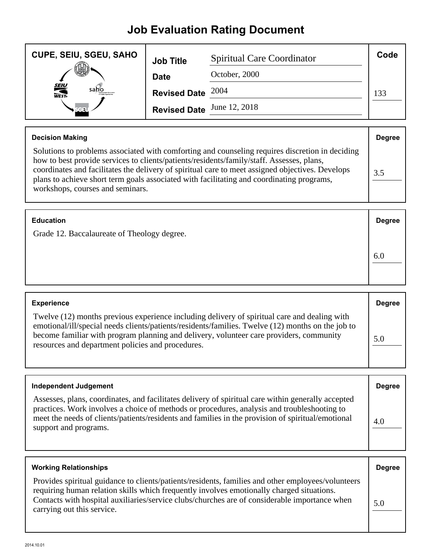## **Job Evaluation Rating Document**

| <b>CUPE, SEIU, SGEU, SAHO</b> | <b>Job Title</b>           | <b>Spiritual Care Coordinator</b> | Code |
|-------------------------------|----------------------------|-----------------------------------|------|
| Jn.                           | <b>Date</b>                | October, 2000                     |      |
| <b>SEIU</b><br>WEST-<br>sano  | Revised Date $2004$        |                                   | 133  |
|                               | Revised Date June 12, 2018 |                                   |      |

| <b>Decision Making</b>                                                                                                                                                                                                                                                                                                                                                                                                            | <b>Degree</b> |
|-----------------------------------------------------------------------------------------------------------------------------------------------------------------------------------------------------------------------------------------------------------------------------------------------------------------------------------------------------------------------------------------------------------------------------------|---------------|
| Solutions to problems associated with comforting and counseling requires discretion in deciding<br>how to best provide services to clients/patients/residents/family/staff. Assesses, plans,<br>coordinates and facilitates the delivery of spiritual care to meet assigned objectives. Develops<br>plans to achieve short term goals associated with facilitating and coordinating programs,<br>workshops, courses and seminars. | 3.5           |

| <b>Education</b> | <b>Degree</b> |
|------------------|---------------|
|------------------|---------------|

Grade 12. Baccalaureate of Theology degree.

| <b>Experience</b>                                                                                                                                                                                                                                                                                                                                 | <b>Degree</b> |
|---------------------------------------------------------------------------------------------------------------------------------------------------------------------------------------------------------------------------------------------------------------------------------------------------------------------------------------------------|---------------|
| Twelve (12) months previous experience including delivery of spiritual care and dealing with<br>emotional/ill/special needs clients/patients/residents/families. Twelve (12) months on the job to<br>become familiar with program planning and delivery, volunteer care providers, community<br>resources and department policies and procedures. | 5.0           |

6.0

| <b>Independent Judgement</b>                                                                                                                                                                                                                                                                                                    | <b>Degree</b> |
|---------------------------------------------------------------------------------------------------------------------------------------------------------------------------------------------------------------------------------------------------------------------------------------------------------------------------------|---------------|
| Assesses, plans, coordinates, and facilitates delivery of spiritual care within generally accepted<br>practices. Work involves a choice of methods or procedures, analysis and troubleshooting to<br>meet the needs of clients/patients/residents and families in the provision of spiritual/emotional<br>support and programs. | 4.0           |

| <b>Working Relationships</b>                                                                                                                                                                                                                                                                                                   | <b>Degree</b> |
|--------------------------------------------------------------------------------------------------------------------------------------------------------------------------------------------------------------------------------------------------------------------------------------------------------------------------------|---------------|
| Provides spiritual guidance to clients/patients/residents, families and other employees/volunteers<br>requiring human relation skills which frequently involves emotionally charged situations.<br>Contacts with hospital auxiliaries/service clubs/churches are of considerable importance when<br>carrying out this service. | 5.0           |